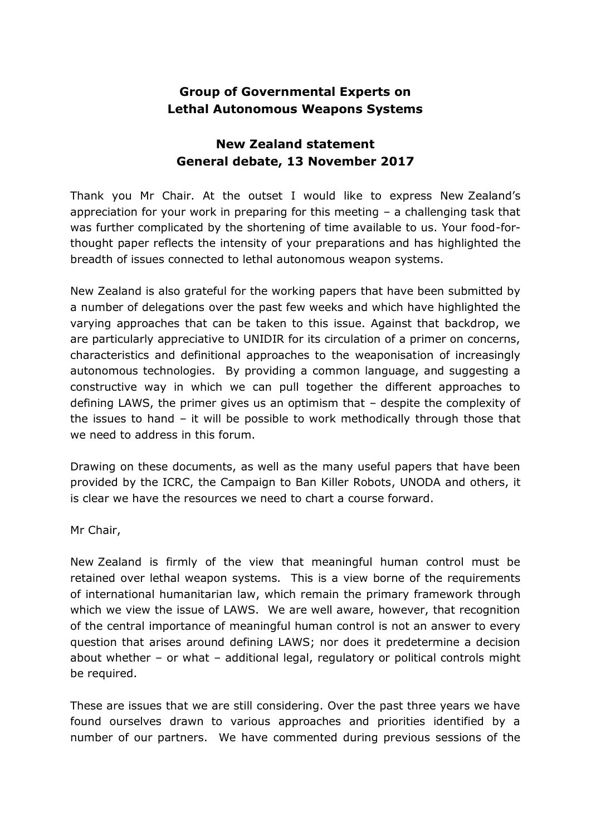## **Group of Governmental Experts on Lethal Autonomous Weapons Systems**

## **New Zealand statement General debate, 13 November 2017**

Thank you Mr Chair. At the outset I would like to express New Zealand's appreciation for your work in preparing for this meeting – a challenging task that was further complicated by the shortening of time available to us. Your food-forthought paper reflects the intensity of your preparations and has highlighted the breadth of issues connected to lethal autonomous weapon systems.

New Zealand is also grateful for the working papers that have been submitted by a number of delegations over the past few weeks and which have highlighted the varying approaches that can be taken to this issue. Against that backdrop, we are particularly appreciative to UNIDIR for its circulation of a primer on concerns, characteristics and definitional approaches to the weaponisation of increasingly autonomous technologies. By providing a common language, and suggesting a constructive way in which we can pull together the different approaches to defining LAWS, the primer gives us an optimism that – despite the complexity of the issues to hand – it will be possible to work methodically through those that we need to address in this forum.

Drawing on these documents, as well as the many useful papers that have been provided by the ICRC, the Campaign to Ban Killer Robots, UNODA and others, it is clear we have the resources we need to chart a course forward.

Mr Chair,

New Zealand is firmly of the view that meaningful human control must be retained over lethal weapon systems. This is a view borne of the requirements of international humanitarian law, which remain the primary framework through which we view the issue of LAWS. We are well aware, however, that recognition of the central importance of meaningful human control is not an answer to every question that arises around defining LAWS; nor does it predetermine a decision about whether – or what – additional legal, regulatory or political controls might be required.

These are issues that we are still considering. Over the past three years we have found ourselves drawn to various approaches and priorities identified by a number of our partners. We have commented during previous sessions of the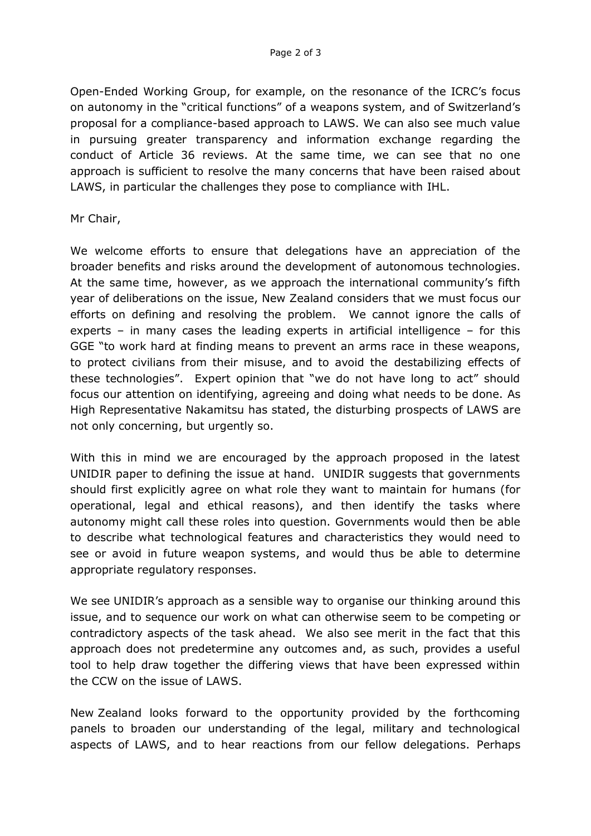Open-Ended Working Group, for example, on the resonance of the ICRC's focus on autonomy in the "critical functions" of a weapons system, and of Switzerland's proposal for a compliance-based approach to LAWS. We can also see much value in pursuing greater transparency and information exchange regarding the conduct of Article 36 reviews. At the same time, we can see that no one approach is sufficient to resolve the many concerns that have been raised about LAWS, in particular the challenges they pose to compliance with IHL.

Mr Chair,

We welcome efforts to ensure that delegations have an appreciation of the broader benefits and risks around the development of autonomous technologies. At the same time, however, as we approach the international community's fifth year of deliberations on the issue, New Zealand considers that we must focus our efforts on defining and resolving the problem. We cannot ignore the calls of experts – in many cases the leading experts in artificial intelligence – for this GGE "to work hard at finding means to prevent an arms race in these weapons, to protect civilians from their misuse, and to avoid the destabilizing effects of these technologies". Expert opinion that "we do not have long to act" should focus our attention on identifying, agreeing and doing what needs to be done. As High Representative Nakamitsu has stated, the disturbing prospects of LAWS are not only concerning, but urgently so.

With this in mind we are encouraged by the approach proposed in the latest UNIDIR paper to defining the issue at hand. UNIDIR suggests that governments should first explicitly agree on what role they want to maintain for humans (for operational, legal and ethical reasons), and then identify the tasks where autonomy might call these roles into question. Governments would then be able to describe what technological features and characteristics they would need to see or avoid in future weapon systems, and would thus be able to determine appropriate regulatory responses.

We see UNIDIR's approach as a sensible way to organise our thinking around this issue, and to sequence our work on what can otherwise seem to be competing or contradictory aspects of the task ahead. We also see merit in the fact that this approach does not predetermine any outcomes and, as such, provides a useful tool to help draw together the differing views that have been expressed within the CCW on the issue of LAWS.

New Zealand looks forward to the opportunity provided by the forthcoming panels to broaden our understanding of the legal, military and technological aspects of LAWS, and to hear reactions from our fellow delegations. Perhaps